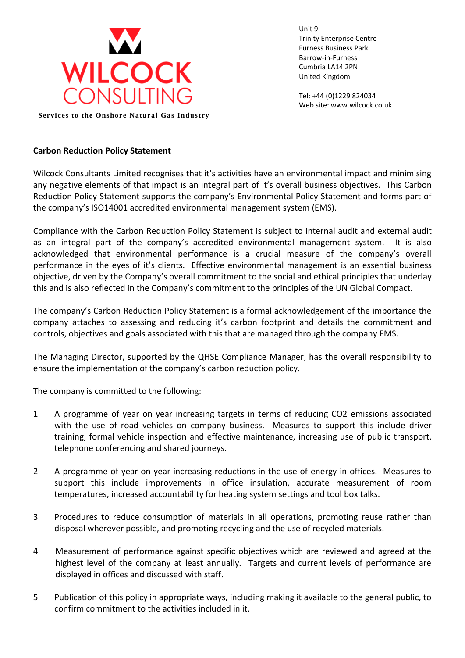

Unit 9 Trinity Enterprise Centre Furness Business Park Barrow-in-Furness Cumbria LA14 2PN United Kingdom

Tel: +44 (0)1229 824034 Web site: www.wilcock.co.uk

**Services to the Onshore Natural Gas Industry** 

## **Carbon Reduction Policy Statement**

Wilcock Consultants Limited recognises that it's activities have an environmental impact and minimising any negative elements of that impact is an integral part of it's overall business objectives. This Carbon Reduction Policy Statement supports the company's Environmental Policy Statement and forms part of the company's ISO14001 accredited environmental management system (EMS).

Compliance with the Carbon Reduction Policy Statement is subject to internal audit and external audit as an integral part of the company's accredited environmental management system. It is also acknowledged that environmental performance is a crucial measure of the company's overall performance in the eyes of it's clients. Effective environmental management is an essential business objective, driven by the Company's overall commitment to the social and ethical principles that underlay this and is also reflected in the Company's commitment to the principles of the UN Global Compact.

The company's Carbon Reduction Policy Statement is a formal acknowledgement of the importance the company attaches to assessing and reducing it's carbon footprint and details the commitment and controls, objectives and goals associated with this that are managed through the company EMS.

The Managing Director, supported by the QHSE Compliance Manager, has the overall responsibility to ensure the implementation of the company's carbon reduction policy.

The company is committed to the following:

- 1 A programme of year on year increasing targets in terms of reducing CO2 emissions associated with the use of road vehicles on company business. Measures to support this include driver training, formal vehicle inspection and effective maintenance, increasing use of public transport, telephone conferencing and shared journeys.
- 2 A programme of year on year increasing reductions in the use of energy in offices. Measures to support this include improvements in office insulation, accurate measurement of room temperatures, increased accountability for heating system settings and tool box talks.
- 3 Procedures to reduce consumption of materials in all operations, promoting reuse rather than disposal wherever possible, and promoting recycling and the use of recycled materials.
- 4 Measurement of performance against specific objectives which are reviewed and agreed at the highest level of the company at least annually. Targets and current levels of performance are displayed in offices and discussed with staff.
- 5 Publication of this policy in appropriate ways, including making it available to the general public, to confirm commitment to the activities included in it.